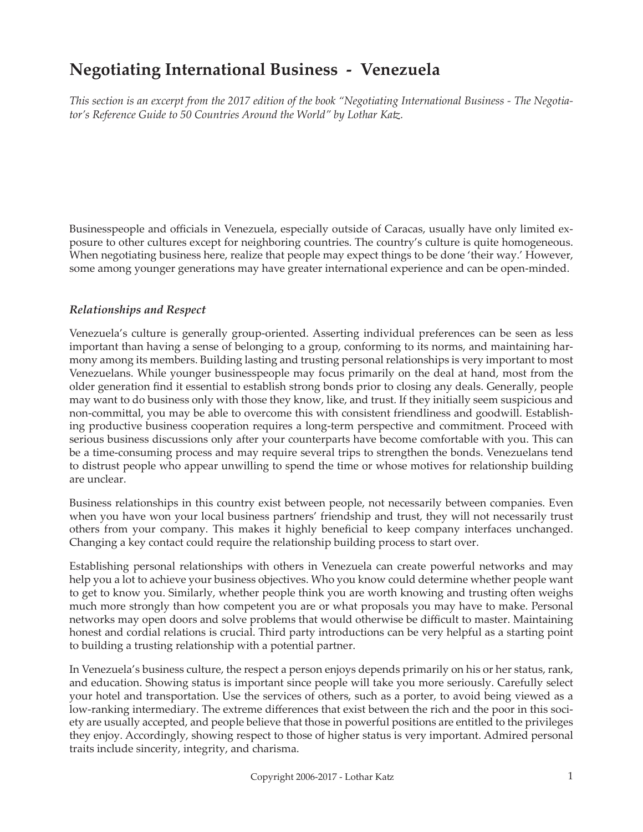# **Negotiating International Business - Venezuela**

*This section is an excerpt from the 2017 edition of the book "Negotiating International Business - The Negotiator's Reference Guide to 50 Countries Around the World" by Lothar Katz.*

Businesspeople and officials in Venezuela, especially outside of Caracas, usually have only limited exposure to other cultures except for neighboring countries. The country's culture is quite homogeneous. When negotiating business here, realize that people may expect things to be done 'their way.' However, some among younger generations may have greater international experience and can be open-minded.

#### *Relationships and Respect*

Venezuela's culture is generally group-oriented. Asserting individual preferences can be seen as less important than having a sense of belonging to a group, conforming to its norms, and maintaining harmony among its members. Building lasting and trusting personal relationships is very important to most Venezuelans. While younger businesspeople may focus primarily on the deal at hand, most from the older generation find it essential to establish strong bonds prior to closing any deals. Generally, people may want to do business only with those they know, like, and trust. If they initially seem suspicious and non-committal, you may be able to overcome this with consistent friendliness and goodwill. Establishing productive business cooperation requires a long-term perspective and commitment. Proceed with serious business discussions only after your counterparts have become comfortable with you. This can be a time-consuming process and may require several trips to strengthen the bonds. Venezuelans tend to distrust people who appear unwilling to spend the time or whose motives for relationship building are unclear.

Business relationships in this country exist between people, not necessarily between companies. Even when you have won your local business partners' friendship and trust, they will not necessarily trust others from your company. This makes it highly beneficial to keep company interfaces unchanged. Changing a key contact could require the relationship building process to start over.

Establishing personal relationships with others in Venezuela can create powerful networks and may help you a lot to achieve your business objectives. Who you know could determine whether people want to get to know you. Similarly, whether people think you are worth knowing and trusting often weighs much more strongly than how competent you are or what proposals you may have to make. Personal networks may open doors and solve problems that would otherwise be difficult to master. Maintaining honest and cordial relations is crucial. Third party introductions can be very helpful as a starting point to building a trusting relationship with a potential partner.

In Venezuela's business culture, the respect a person enjoys depends primarily on his or her status, rank, and education. Showing status is important since people will take you more seriously. Carefully select your hotel and transportation. Use the services of others, such as a porter, to avoid being viewed as a low-ranking intermediary. The extreme differences that exist between the rich and the poor in this society are usually accepted, and people believe that those in powerful positions are entitled to the privileges they enjoy. Accordingly, showing respect to those of higher status is very important. Admired personal traits include sincerity, integrity, and charisma.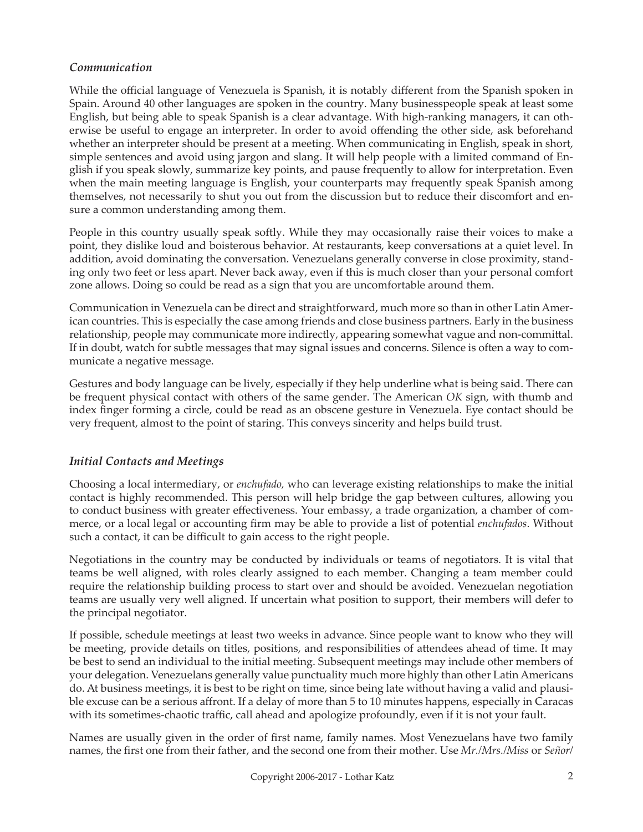#### *Communication*

While the official language of Venezuela is Spanish, it is notably different from the Spanish spoken in Spain. Around 40 other languages are spoken in the country. Many businesspeople speak at least some English, but being able to speak Spanish is a clear advantage. With high-ranking managers, it can otherwise be useful to engage an interpreter. In order to avoid offending the other side, ask beforehand whether an interpreter should be present at a meeting. When communicating in English, speak in short, simple sentences and avoid using jargon and slang. It will help people with a limited command of English if you speak slowly, summarize key points, and pause frequently to allow for interpretation. Even when the main meeting language is English, your counterparts may frequently speak Spanish among themselves, not necessarily to shut you out from the discussion but to reduce their discomfort and ensure a common understanding among them.

People in this country usually speak softly. While they may occasionally raise their voices to make a point, they dislike loud and boisterous behavior. At restaurants, keep conversations at a quiet level. In addition, avoid dominating the conversation. Venezuelans generally converse in close proximity, standing only two feet or less apart. Never back away, even if this is much closer than your personal comfort zone allows. Doing so could be read as a sign that you are uncomfortable around them.

Communication in Venezuela can be direct and straightforward, much more so than in other Latin American countries. This is especially the case among friends and close business partners. Early in the business relationship, people may communicate more indirectly, appearing somewhat vague and non-committal. If in doubt, watch for subtle messages that may signal issues and concerns. Silence is often a way to communicate a negative message.

Gestures and body language can be lively, especially if they help underline what is being said. There can be frequent physical contact with others of the same gender. The American *OK* sign, with thumb and index finger forming a circle, could be read as an obscene gesture in Venezuela. Eye contact should be very frequent, almost to the point of staring. This conveys sincerity and helps build trust.

## *Initial Contacts and Meetings*

Choosing a local intermediary, or *enchufado,* who can leverage existing relationships to make the initial contact is highly recommended. This person will help bridge the gap between cultures, allowing you to conduct business with greater effectiveness. Your embassy, a trade organization, a chamber of commerce, or a local legal or accounting firm may be able to provide a list of potential *enchufados*. Without such a contact, it can be difficult to gain access to the right people.

Negotiations in the country may be conducted by individuals or teams of negotiators. It is vital that teams be well aligned, with roles clearly assigned to each member. Changing a team member could require the relationship building process to start over and should be avoided. Venezuelan negotiation teams are usually very well aligned. If uncertain what position to support, their members will defer to the principal negotiator.

If possible, schedule meetings at least two weeks in advance. Since people want to know who they will be meeting, provide details on titles, positions, and responsibilities of attendees ahead of time. It may be best to send an individual to the initial meeting. Subsequent meetings may include other members of your delegation. Venezuelans generally value punctuality much more highly than other Latin Americans do. At business meetings, it is best to be right on time, since being late without having a valid and plausible excuse can be a serious affront. If a delay of more than 5 to 10 minutes happens, especially in Caracas with its sometimes-chaotic traffic, call ahead and apologize profoundly, even if it is not your fault.

Names are usually given in the order of first name, family names. Most Venezuelans have two family names, the first one from their father, and the second one from their mother. Use *Mr./Mrs./Miss* or *Señor/*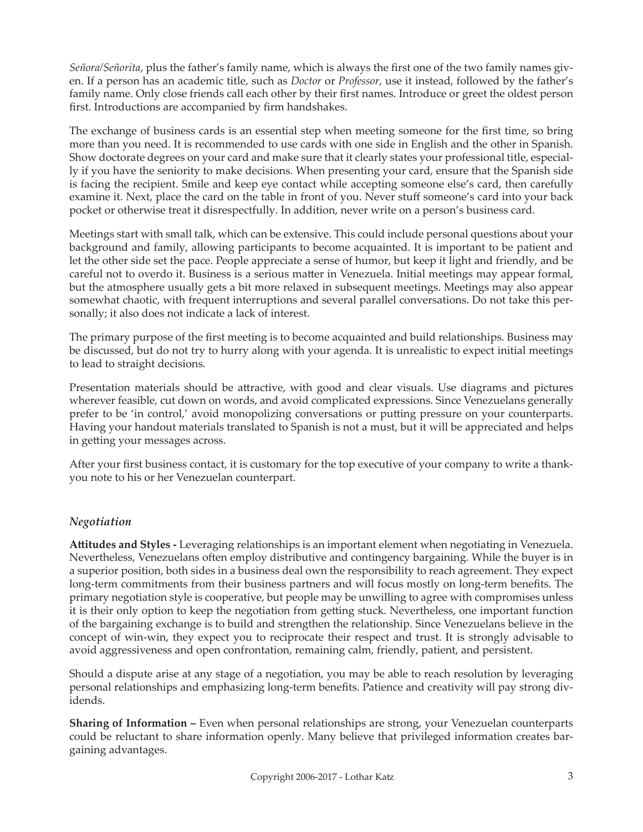*Señora/Señorita*, plus the father's family name, which is always the first one of the two family names given. If a person has an academic title, such as *Doctor* or *Professor*, use it instead, followed by the father's family name. Only close friends call each other by their first names. Introduce or greet the oldest person first. Introductions are accompanied by firm handshakes.

The exchange of business cards is an essential step when meeting someone for the first time, so bring more than you need. It is recommended to use cards with one side in English and the other in Spanish. Show doctorate degrees on your card and make sure that it clearly states your professional title, especially if you have the seniority to make decisions. When presenting your card, ensure that the Spanish side is facing the recipient. Smile and keep eye contact while accepting someone else's card, then carefully examine it. Next, place the card on the table in front of you. Never stuff someone's card into your back pocket or otherwise treat it disrespectfully. In addition, never write on a person's business card.

Meetings start with small talk, which can be extensive. This could include personal questions about your background and family, allowing participants to become acquainted. It is important to be patient and let the other side set the pace. People appreciate a sense of humor, but keep it light and friendly, and be careful not to overdo it. Business is a serious matter in Venezuela. Initial meetings may appear formal, but the atmosphere usually gets a bit more relaxed in subsequent meetings. Meetings may also appear somewhat chaotic, with frequent interruptions and several parallel conversations. Do not take this personally; it also does not indicate a lack of interest.

The primary purpose of the first meeting is to become acquainted and build relationships. Business may be discussed, but do not try to hurry along with your agenda. It is unrealistic to expect initial meetings to lead to straight decisions.

Presentation materials should be attractive, with good and clear visuals. Use diagrams and pictures wherever feasible, cut down on words, and avoid complicated expressions. Since Venezuelans generally prefer to be 'in control,' avoid monopolizing conversations or putting pressure on your counterparts. Having your handout materials translated to Spanish is not a must, but it will be appreciated and helps in getting your messages across.

After your first business contact, it is customary for the top executive of your company to write a thankyou note to his or her Venezuelan counterpart.

## *Negotiation*

**Attitudes and Styles -** Leveraging relationships is an important element when negotiating in Venezuela. Nevertheless, Venezuelans often employ distributive and contingency bargaining. While the buyer is in a superior position, both sides in a business deal own the responsibility to reach agreement. They expect long-term commitments from their business partners and will focus mostly on long-term benefits. The primary negotiation style is cooperative, but people may be unwilling to agree with compromises unless it is their only option to keep the negotiation from getting stuck. Nevertheless, one important function of the bargaining exchange is to build and strengthen the relationship. Since Venezuelans believe in the concept of win-win, they expect you to reciprocate their respect and trust. It is strongly advisable to avoid aggressiveness and open confrontation, remaining calm, friendly, patient, and persistent.

Should a dispute arise at any stage of a negotiation, you may be able to reach resolution by leveraging personal relationships and emphasizing long-term benefits. Patience and creativity will pay strong dividends.

**Sharing of Information –** Even when personal relationships are strong, your Venezuelan counterparts could be reluctant to share information openly. Many believe that privileged information creates bargaining advantages.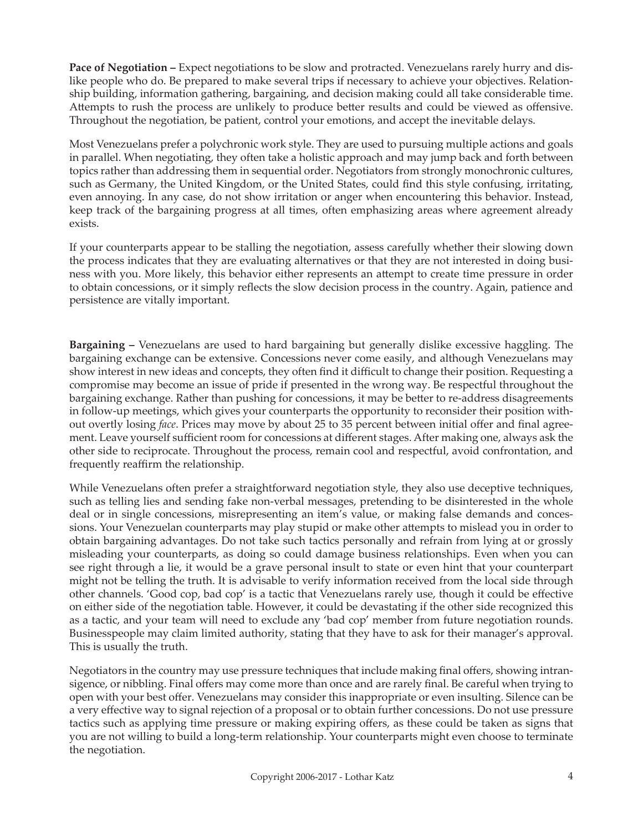**Pace of Negotiation – Expect negotiations to be slow and protracted. Venezuelans rarely hurry and dis**like people who do. Be prepared to make several trips if necessary to achieve your objectives. Relationship building, information gathering, bargaining, and decision making could all take considerable time. Attempts to rush the process are unlikely to produce better results and could be viewed as offensive. Throughout the negotiation, be patient, control your emotions, and accept the inevitable delays.

Most Venezuelans prefer a polychronic work style. They are used to pursuing multiple actions and goals in parallel. When negotiating, they often take a holistic approach and may jump back and forth between topics rather than addressing them in sequential order. Negotiators from strongly monochronic cultures, such as Germany, the United Kingdom, or the United States, could find this style confusing, irritating, even annoying. In any case, do not show irritation or anger when encountering this behavior. Instead, keep track of the bargaining progress at all times, often emphasizing areas where agreement already exists.

If your counterparts appear to be stalling the negotiation, assess carefully whether their slowing down the process indicates that they are evaluating alternatives or that they are not interested in doing business with you. More likely, this behavior either represents an attempt to create time pressure in order to obtain concessions, or it simply reflects the slow decision process in the country. Again, patience and persistence are vitally important.

**Bargaining –** Venezuelans are used to hard bargaining but generally dislike excessive haggling. The bargaining exchange can be extensive. Concessions never come easily, and although Venezuelans may show interest in new ideas and concepts, they often find it difficult to change their position. Requesting a compromise may become an issue of pride if presented in the wrong way. Be respectful throughout the bargaining exchange. Rather than pushing for concessions, it may be better to re-address disagreements in follow-up meetings, which gives your counterparts the opportunity to reconsider their position without overtly losing *face*. Prices may move by about 25 to 35 percent between initial offer and final agreement. Leave yourself sufficient room for concessions at different stages. After making one, always ask the other side to reciprocate. Throughout the process, remain cool and respectful, avoid confrontation, and frequently reaffirm the relationship.

While Venezuelans often prefer a straightforward negotiation style, they also use deceptive techniques, such as telling lies and sending fake non-verbal messages, pretending to be disinterested in the whole deal or in single concessions, misrepresenting an item's value, or making false demands and concessions. Your Venezuelan counterparts may play stupid or make other attempts to mislead you in order to obtain bargaining advantages. Do not take such tactics personally and refrain from lying at or grossly misleading your counterparts, as doing so could damage business relationships. Even when you can see right through a lie, it would be a grave personal insult to state or even hint that your counterpart might not be telling the truth. It is advisable to verify information received from the local side through other channels. 'Good cop, bad cop' is a tactic that Venezuelans rarely use, though it could be effective on either side of the negotiation table. However, it could be devastating if the other side recognized this as a tactic, and your team will need to exclude any 'bad cop' member from future negotiation rounds. Businesspeople may claim limited authority, stating that they have to ask for their manager's approval. This is usually the truth.

Negotiators in the country may use pressure techniques that include making final offers, showing intransigence, or nibbling. Final offers may come more than once and are rarely final. Be careful when trying to open with your best offer. Venezuelans may consider this inappropriate or even insulting. Silence can be a very effective way to signal rejection of a proposal or to obtain further concessions. Do not use pressure tactics such as applying time pressure or making expiring offers, as these could be taken as signs that you are not willing to build a long-term relationship. Your counterparts might even choose to terminate the negotiation.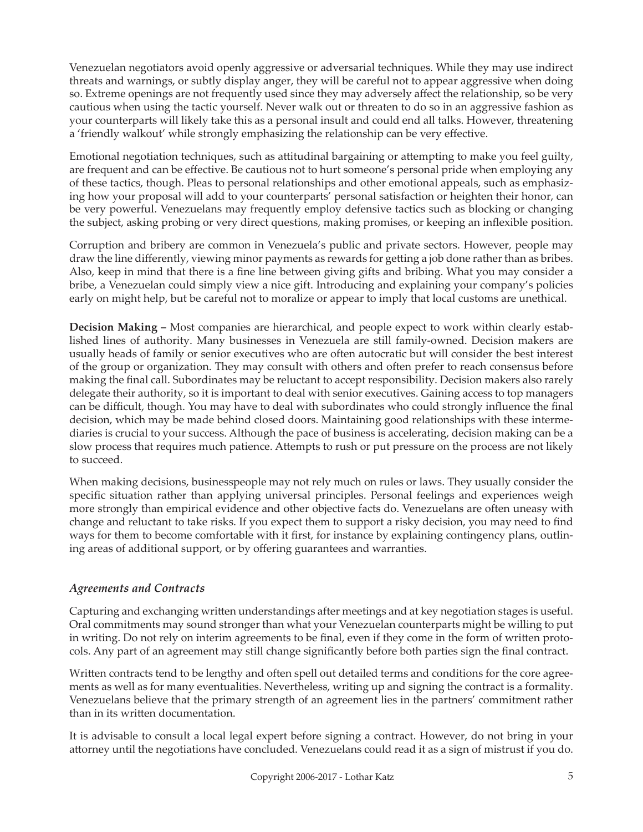Venezuelan negotiators avoid openly aggressive or adversarial techniques. While they may use indirect threats and warnings, or subtly display anger, they will be careful not to appear aggressive when doing so. Extreme openings are not frequently used since they may adversely affect the relationship, so be very cautious when using the tactic yourself. Never walk out or threaten to do so in an aggressive fashion as your counterparts will likely take this as a personal insult and could end all talks. However, threatening a 'friendly walkout' while strongly emphasizing the relationship can be very effective.

Emotional negotiation techniques, such as attitudinal bargaining or attempting to make you feel guilty, are frequent and can be effective. Be cautious not to hurt someone's personal pride when employing any of these tactics, though. Pleas to personal relationships and other emotional appeals, such as emphasizing how your proposal will add to your counterparts' personal satisfaction or heighten their honor, can be very powerful. Venezuelans may frequently employ defensive tactics such as blocking or changing the subject, asking probing or very direct questions, making promises, or keeping an inflexible position.

Corruption and bribery are common in Venezuela's public and private sectors. However, people may draw the line differently, viewing minor payments as rewards for getting a job done rather than as bribes. Also, keep in mind that there is a fine line between giving gifts and bribing. What you may consider a bribe, a Venezuelan could simply view a nice gift. Introducing and explaining your company's policies early on might help, but be careful not to moralize or appear to imply that local customs are unethical.

**Decision Making –** Most companies are hierarchical, and people expect to work within clearly established lines of authority. Many businesses in Venezuela are still family-owned. Decision makers are usually heads of family or senior executives who are often autocratic but will consider the best interest of the group or organization. They may consult with others and often prefer to reach consensus before making the final call. Subordinates may be reluctant to accept responsibility. Decision makers also rarely delegate their authority, so it is important to deal with senior executives. Gaining access to top managers can be difficult, though. You may have to deal with subordinates who could strongly influence the final decision, which may be made behind closed doors. Maintaining good relationships with these intermediaries is crucial to your success. Although the pace of business is accelerating, decision making can be a slow process that requires much patience. Attempts to rush or put pressure on the process are not likely to succeed.

When making decisions, businesspeople may not rely much on rules or laws. They usually consider the specific situation rather than applying universal principles. Personal feelings and experiences weigh more strongly than empirical evidence and other objective facts do. Venezuelans are often uneasy with change and reluctant to take risks. If you expect them to support a risky decision, you may need to find ways for them to become comfortable with it first, for instance by explaining contingency plans, outlining areas of additional support, or by offering guarantees and warranties.

# *Agreements and Contracts*

Capturing and exchanging written understandings after meetings and at key negotiation stages is useful. Oral commitments may sound stronger than what your Venezuelan counterparts might be willing to put in writing. Do not rely on interim agreements to be final, even if they come in the form of written protocols. Any part of an agreement may still change significantly before both parties sign the final contract.

Written contracts tend to be lengthy and often spell out detailed terms and conditions for the core agreements as well as for many eventualities. Nevertheless, writing up and signing the contract is a formality. Venezuelans believe that the primary strength of an agreement lies in the partners' commitment rather than in its written documentation.

It is advisable to consult a local legal expert before signing a contract. However, do not bring in your attorney until the negotiations have concluded. Venezuelans could read it as a sign of mistrust if you do.